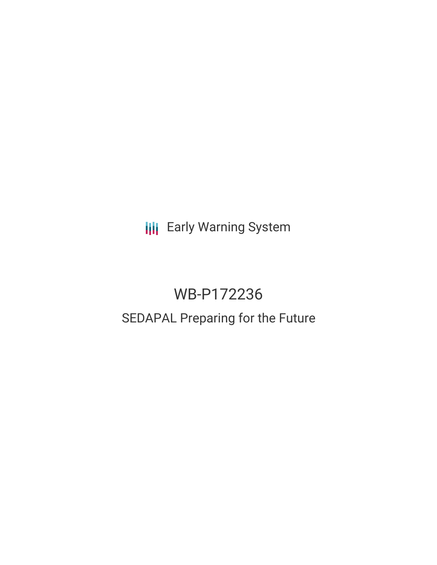**III** Early Warning System

# WB-P172236 SEDAPAL Preparing for the Future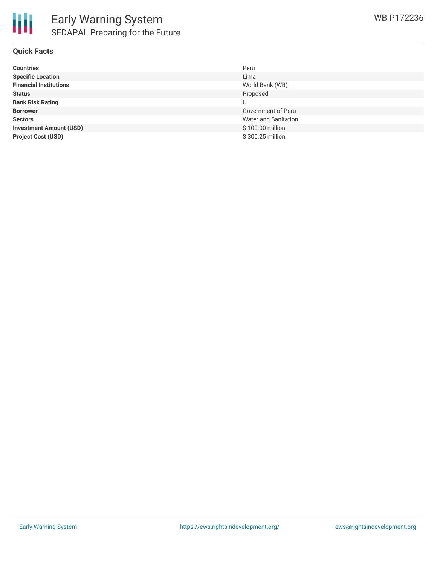#### **Quick Facts**

| <b>Countries</b>               | Peru                 |
|--------------------------------|----------------------|
| <b>Specific Location</b>       | Lima                 |
| <b>Financial Institutions</b>  | World Bank (WB)      |
| <b>Status</b>                  | Proposed             |
| <b>Bank Risk Rating</b>        | U                    |
| <b>Borrower</b>                | Government of Peru   |
| <b>Sectors</b>                 | Water and Sanitation |
| <b>Investment Amount (USD)</b> | \$100.00 million     |
| <b>Project Cost (USD)</b>      | \$300.25 million     |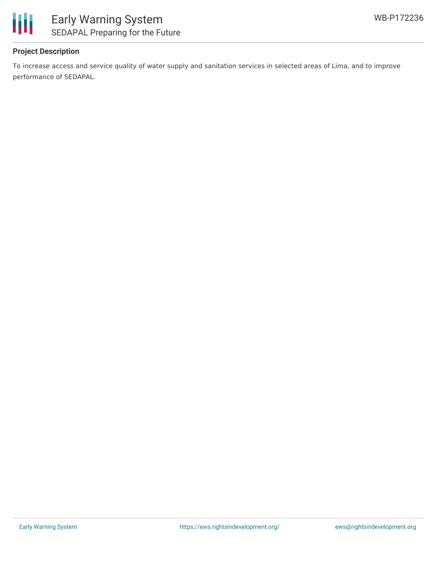

#### **Project Description**

To increase access and service quality of water supply and sanitation services in selected areas of Lima, and to improve performance of SEDAPAL.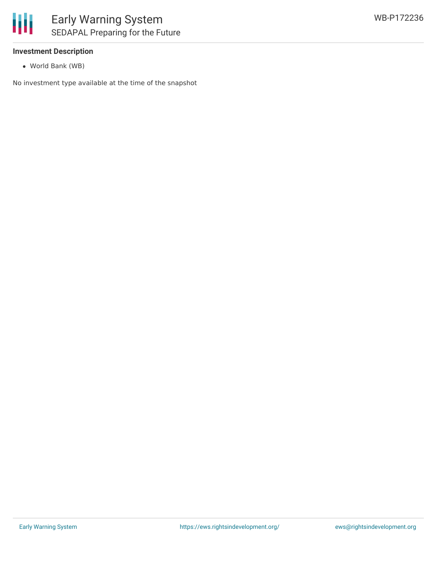

#### **Investment Description**

World Bank (WB)

No investment type available at the time of the snapshot